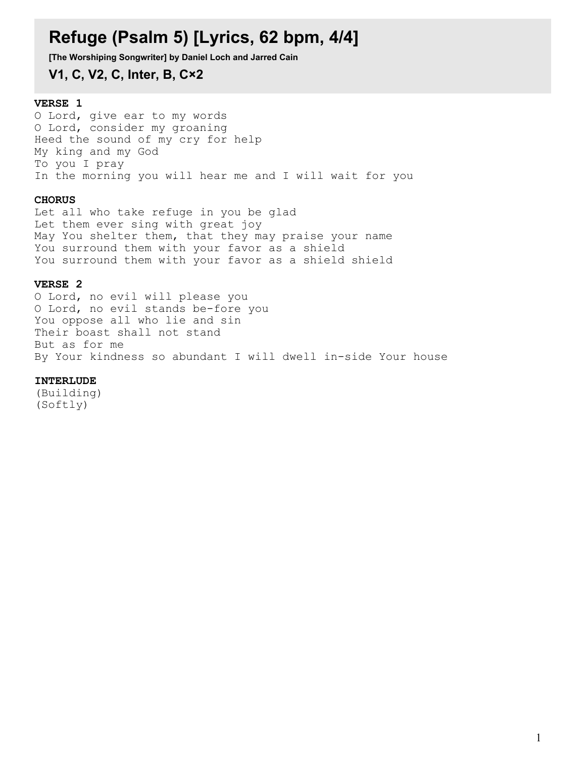# **Refuge (Psalm 5) [Lyrics, 62 bpm, 4/4]**

**[The Worshiping Songwriter] by Daniel Loch and Jarred Cain**

**V1, C, V2, C, Inter, B, C×2**

### **VERSE 1**

O Lord, give ear to my words O Lord, consider my groaning Heed the sound of my cry for help My king and my God To you I pray In the morning you will hear me and I will wait for you

#### **CHORUS**

Let all who take refuge in you be glad Let them ever sing with great joy May You shelter them, that they may praise your name You surround them with your favor as a shield You surround them with your favor as a shield shield

#### **VERSE 2**

O Lord, no evil will please you O Lord, no evil stands be-fore you You oppose all who lie and sin Their boast shall not stand But as for me By Your kindness so abundant I will dwell in-side Your house

#### **INTERLUDE**

(Building) (Softly)